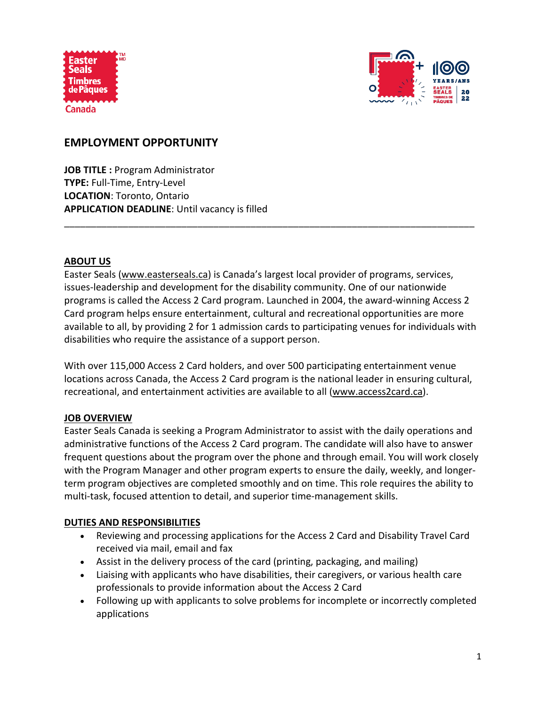



# **EMPLOYMENT OPPORTUNITY**

**JOB TITLE :** Program Administrator **TYPE:** Full-Time, Entry-Level **LOCATION**: Toronto, Ontario **APPLICATION DEADLINE**: Until vacancy is filled

### **ABOUT US**

Easter Seals [\(www.easterseals.ca\)](http://www.easterseals.ca/) is Canada's largest local provider of programs, services, issues-leadership and development for the disability community. One of our nationwide programs is called the Access 2 Card program. Launched in 2004, the award-winning Access 2 Card program helps ensure entertainment, cultural and recreational opportunities are more available to all, by providing 2 for 1 admission cards to participating venues for individuals with disabilities who require the assistance of a support person.

\_\_\_\_\_\_\_\_\_\_\_\_\_\_\_\_\_\_\_\_\_\_\_\_\_\_\_\_\_\_\_\_\_\_\_\_\_\_\_\_\_\_\_\_\_\_\_\_\_\_\_\_\_\_\_\_\_\_\_\_\_\_\_\_\_\_\_\_\_\_\_\_\_\_\_\_\_

With over 115,000 Access 2 Card holders, and over 500 participating entertainment venue locations across Canada, the Access 2 Card program is the national leader in ensuring cultural, recreational, and entertainment activities are available to all [\(www.access2card.ca\)](http://www.access2card.ca/).

### **JOB OVERVIEW**

Easter Seals Canada is seeking a Program Administrator to assist with the daily operations and administrative functions of the Access 2 Card program. The candidate will also have to answer frequent questions about the program over the phone and through email. You will work closely with the Program Manager and other program experts to ensure the daily, weekly, and longerterm program objectives are completed smoothly and on time. This role requires the ability to multi-task, focused attention to detail, and superior time-management skills.

### **DUTIES AND RESPONSIBILITIES**

- Reviewing and processing applications for the Access 2 Card and Disability Travel Card received via mail, email and fax
- Assist in the delivery process of the card (printing, packaging, and mailing)
- Liaising with applicants who have disabilities, their caregivers, or various health care professionals to provide information about the Access 2 Card
- Following up with applicants to solve problems for incomplete or incorrectly completed applications